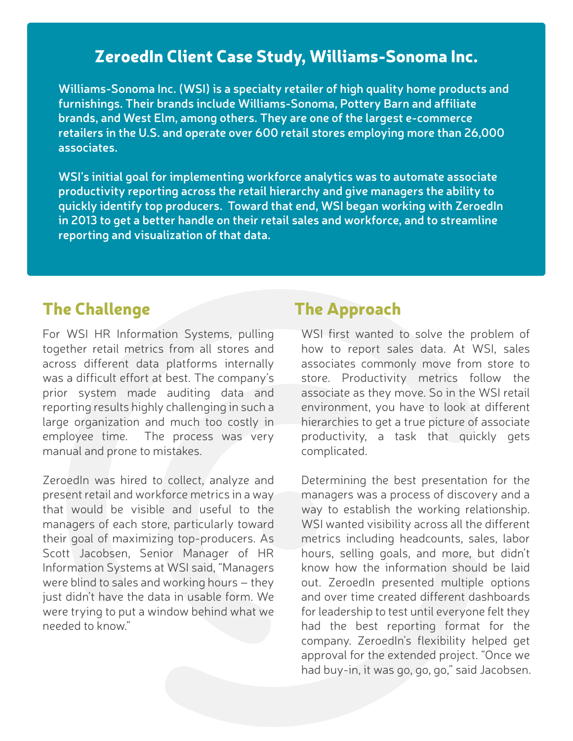## ZeroedIn Client Case Study, Williams-Sonoma Inc.

**Williams-Sonoma Inc. (WSI) is a specialty retailer of high quality home products and furnishings. Their brands include Williams-Sonoma, Pottery Barn and affiliate brands, and West Elm, among others. They are one of the largest e-commerce retailers in the U.S. and operate over 600 retail stores employing more than 26,000 associates.** 

**WSI's initial goal for implementing workforce analytics was to automate associate productivity reporting across the retail hierarchy and give managers the ability to quickly identify top producers. Toward that end, WSI began working with ZeroedIn in 2013 to get a better handle on their retail sales and workforce, and to streamline reporting and visualization of that data.**

## The Challenge The Approach

For WSI HR Information Systems, pulling together retail metrics from all stores and across different data platforms internally was a difficult effort at best. The company's prior system made auditing data and reporting results highly challenging in such a large organization and much too costly in employee time. The process was very manual and prone to mistakes.

ZeroedIn was hired to collect, analyze and present retail and workforce metrics in a way that would be visible and useful to the managers of each store, particularly toward their goal of maximizing top-producers. As Scott Jacobsen, Senior Manager of HR Information Systems at WSI said, "Managers were blind to sales and working hours – they just didn't have the data in usable form. We were trying to put a window behind what we needed to know."

WSI first wanted to solve the problem of how to report sales data. At WSI, sales associates commonly move from store to store. Productivity metrics follow the associate as they move. So in the WSI retail environment, you have to look at different hierarchies to get a true picture of associate productivity, a task that quickly gets complicated.

Determining the best presentation for the managers was a process of discovery and a way to establish the working relationship. WSI wanted visibility across all the different metrics including headcounts, sales, labor hours, selling goals, and more, but didn't know how the information should be laid out. ZeroedIn presented multiple options and over time created different dashboards for leadership to test until everyone felt they had the best reporting format for the company. ZeroedIn's flexibility helped get approval for the extended project. "Once we had buy-in, it was go, go, go," said Jacobsen.